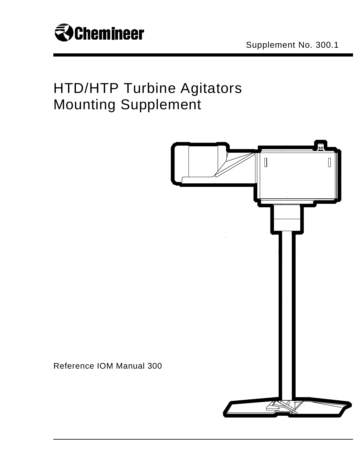

## HTD/HTP Turbine Agitators Mounting Supplement



Reference IOM Manual 300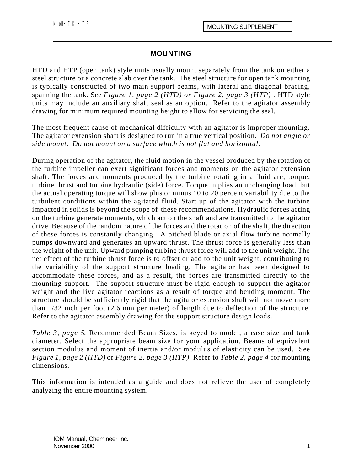## **MOUNTING**

HTD and HTP (open tank) style units usually mount separately from the tank on either a steel structure or a concrete slab over the tank. The steel structure for open tank mounting is typically constructed of two main support beams, with lateral and diagonal bracing, spanning the tank. See *Figure 1, page 2 (HTD) or Figure 2, page 3 (HTP) .* HTD style units may include an auxiliary shaft seal as an option. Refer to the agitator assembly drawing for minimum required mounting height to allow for servicing the seal.

The most frequent cause of mechanical difficulty with an agitator is improper mounting. The agitator extension shaft is designed to run in a true vertical position. *Do not angle or side mount. Do not mount on a surface which is not flat and horizontal.*

During operation of the agitator, the fluid motion in the vessel produced by the rotation of the turbine impeller can exert significant forces and moments on the agitator extension shaft. The forces and moments produced by the turbine rotating in a fluid are; torque, turbine thrust and turbine hydraulic (side) force. Torque implies an unchanging load, but the actual operating torque will show plus or minus 10 to 20 percent variability due to the turbulent conditions within the agitated fluid. Start up of the agitator with the turbine impacted in solids is beyond the scope of these recommendations. Hydraulic forces acting on the turbine generate moments, which act on the shaft and are transmitted to the agitator drive. Because of the random nature of the forces and the rotation of the shaft, the direction of these forces is constantly changing. A pitched blade or axial flow turbine normally pumps downward and generates an upward thrust. The thrust force is generally less than the weight of the unit. Upward pumping turbine thrust force will add to the unit weight. The net effect of the turbine thrust force is to offset or add to the unit weight, contributing to the variability of the support structure loading. The agitator has been designed to accommodate these forces, and as a result, the forces are transmitted directly to the mounting support. The support structure must be rigid enough to support the agitator weight and the live agitator reactions as a result of torque and bending moment. The structure should be sufficiently rigid that the agitator extension shaft will not move more than 1/32 inch per foot (2.6 mm per meter) of length due to deflection of the structure. Refer to the agitator assembly drawing for the support structure design loads.

*Table 3, page 5*, Recommended Beam Sizes, is keyed to model, a case size and tank diameter. Select the appropriate beam size for your application. Beams of equivalent section modulus and moment of inertia and/or modulus of elasticity can be used. See *Figure 1, page 2 (HTD)* or *Figure 2, page 3 (HTP).* Refer to *Table 2, page 4* for mounting dimensions.

This information is intended as a guide and does not relieve the user of completely analyzing the entire mounting system.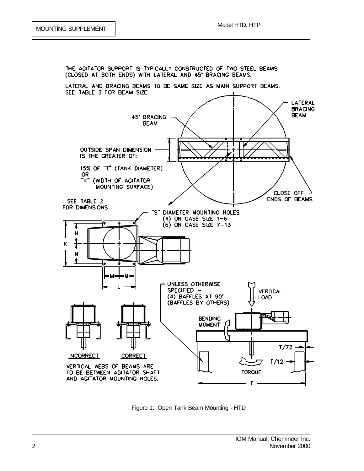

Figure 1: Open Tank Beam Mounting - HTD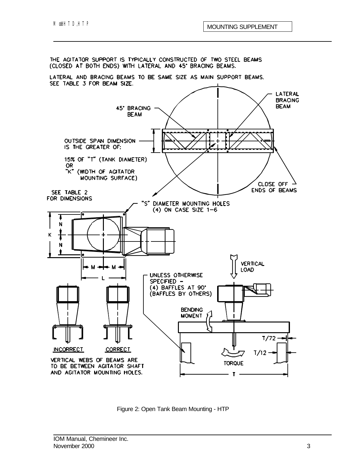

Figure 2: Open Tank Beam Mounting - HTP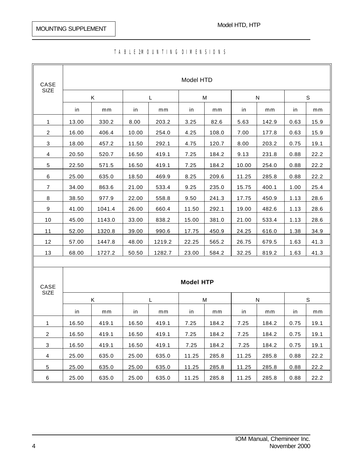| CASE<br><b>SIZE</b> | Model HTD        |        |       |        |       |       |       |       |              |      |
|---------------------|------------------|--------|-------|--------|-------|-------|-------|-------|--------------|------|
|                     | Κ                |        | L     |        | M     |       | N     |       | $\mathsf{s}$ |      |
|                     | in               | mm     | in    | mm     | in    | mm    | in    | mm    | in           | mm   |
| 1                   | 13.00            | 330.2  | 8.00  | 203.2  | 3.25  | 82.6  | 5.63  | 142.9 | 0.63         | 15.9 |
| 2                   | 16.00            | 406.4  | 10.00 | 254.0  | 4.25  | 108.0 | 7.00  | 177.8 | 0.63         | 15.9 |
| 3                   | 18.00            | 457.2  | 11.50 | 292.1  | 4.75  | 120.7 | 8.00  | 203.2 | 0.75         | 19.1 |
| 4                   | 20.50            | 520.7  | 16.50 | 419.1  | 7.25  | 184.2 | 9.13  | 231.8 | 0.88         | 22.2 |
| 5                   | 22.50            | 571.5  | 16.50 | 419.1  | 7.25  | 184.2 | 10.00 | 254.0 | 0.88         | 22.2 |
| 6                   | 25.00            | 635.0  | 18.50 | 469.9  | 8.25  | 209.6 | 11.25 | 285.8 | 0.88         | 22.2 |
| $\overline{7}$      | 34.00            | 863.6  | 21.00 | 533.4  | 9.25  | 235.0 | 15.75 | 400.1 | 1.00         | 25.4 |
| 8                   | 38.50            | 977.9  | 22.00 | 558.8  | 9.50  | 241.3 | 17.75 | 450.9 | 1.13         | 28.6 |
| 9                   | 41.00            | 1041.4 | 26.00 | 660.4  | 11.50 | 292.1 | 19.00 | 482.6 | 1.13         | 28.6 |
| 10                  | 45.00            | 1143.0 | 33.00 | 838.2  | 15.00 | 381.0 | 21.00 | 533.4 | 1.13         | 28.6 |
| 11                  | 52.00            | 1320.8 | 39.00 | 990.6  | 17.75 | 450.9 | 24.25 | 616.0 | 1.38         | 34.9 |
| 12                  | 57.00            | 1447.8 | 48.00 | 1219.2 | 22.25 | 565.2 | 26.75 | 679.5 | 1.63         | 41.3 |
| 13                  | 68.00            | 1727.2 | 50.50 | 1282.7 | 23.00 | 584.2 | 32.25 | 819.2 | 1.63         | 41.3 |
|                     |                  |        |       |        |       |       |       |       |              |      |
|                     |                  |        |       |        |       |       |       |       |              |      |
| CASE<br>SIZE        | <b>Model HTP</b> |        |       |        |       |       |       |       |              |      |
|                     | Κ                |        | Г     |        | M     |       | N     |       | $\mathbf S$  |      |
|                     | in               | mm     | in    | mm     | in    | mm    | in    | mm    | in           | mm   |
| 1                   | 16.50            | 419.1  | 16.50 | 419.1  | 7.25  | 184.2 | 7.25  | 184.2 | 0.75         | 19.1 |
| $\overline{c}$      | 16.50            | 419.1  | 16.50 | 419.1  | 7.25  | 184.2 | 7.25  | 184.2 | 0.75         | 19.1 |
| 3                   | 16.50            | 419.1  | 16.50 | 419.1  | 7.25  | 184.2 | 7.25  | 184.2 | 0.75         | 19.1 |
| 4                   | 25.00            | 635.0  | 25.00 | 635.0  | 11.25 | 285.8 | 11.25 | 285.8 | 0.88         | 22.2 |
| 5                   | 25.00            | 635.0  | 25.00 | 635.0  | 11.25 | 285.8 | 11.25 | 285.8 | 0.88         | 22.2 |

6 25.00 635.0 25.00 635.0 11.25 285.8 11.25 285.8 0.88 22.2

## TA BLE2MOUNTING DIMENSIONS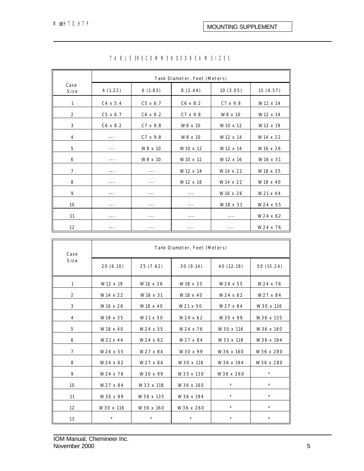|                | Tank Diameter, Feet (Meters) |                 |                      |                      |                      |  |  |
|----------------|------------------------------|-----------------|----------------------|----------------------|----------------------|--|--|
| Case<br>Size   | 4(1.22)                      | 6(1.83)         | 8(2.44)              | 10(3.05)             | 15(4.57)             |  |  |
| 1              | $C4 \times 5.4$              | $C5 \times 6.7$ | $C6 \times 8.2$      | $C7 \times 9.8$      | W12 x 14             |  |  |
| 2              | $C5 \times 6.7$              | $C6 \times 8.2$ | $C7 \times 9.8$      | W8 x 10              | W12 x 14             |  |  |
| 3              | $C6 \times 8.2$              | $C7 \times 9.8$ | W8 x 10              | W <sub>10</sub> x 12 | W <sub>12</sub> x 19 |  |  |
| $\overline{4}$ | ---                          | $C7 \times 9.8$ | W8 x 10              | W12 x 14             | W14 x 22             |  |  |
| 5              | $- - -$                      | W8 x 10         | W <sub>10</sub> x 12 | W12 x 14             | W16 x 26             |  |  |
| 6              |                              | W8 x 10         | W <sub>10</sub> x 12 | W12 x 16             | W <sub>16</sub> x 31 |  |  |
| $\overline{7}$ | ---                          | ---             | W12 x 14             | W14 x 22             | W18 x 35             |  |  |
| 8              |                              |                 | W12 x 16             | W14 x 22             | W18 x 40             |  |  |
| 9              | ---                          |                 |                      | W16 x 26             | W21 x 44             |  |  |
| 10             |                              |                 |                      | W18 x 31             | W24 x 55             |  |  |
| 11             |                              | ---             | ---                  | ---                  | W24 x 62             |  |  |
| 12             |                              |                 |                      |                      | W24 x 76             |  |  |

## TABLE 3: RECOMMENDED BEAM SIZES

| Case           | Tank Diameter, Feet (Meters) |                      |           |            |            |  |  |
|----------------|------------------------------|----------------------|-----------|------------|------------|--|--|
| Size           | 20(6.10)                     | 25(7.62)             | 30(9.14)  | 40 (12.19) | 50 (15.24) |  |  |
| 1              | W12 x 19                     | W <sub>16</sub> x 26 | W18 x 35  | W24 x 55   | W24 x 76   |  |  |
| 2              | W14 x 22                     | W16 x 31             | W18 x 40  | W24 x 62   | W27 x 84   |  |  |
| 3              | W16 x 26                     | W18 x 40             | W21 x 50  | W27 x 84   | W30 x 116  |  |  |
| 4              | W18 x 35                     | W21 x 50             | W24 x 62  | W30 x 99   | W36 x 135  |  |  |
| 5              | W18 x 40                     | W24 x 55             | W24 x 76  | W30 x 116  | W36 x 160  |  |  |
| 6              | W21 x 44                     | W24 x 62             | W27 x 84  | W33 x 118  | W36 x 194  |  |  |
| $\overline{7}$ | W24 x 55                     | W27 x 84             | W30 x 99  | W36 x 160  | W36 x 280  |  |  |
| 8              | W24 x 62                     | W27 x 84             | W30 x 116 | W36 x 194  | W36 x 280  |  |  |
| 9              | W24 x 76                     | W30 x 99             | W33 x 130 | W36 x 260  | $\star$    |  |  |
| 10             | W27 x 84                     | W33 x 118            | W36 x 160 | $\star$    | $\star$    |  |  |
| 11             | W30 x 99                     | W36 x 135            | W36 x 194 | $\star$    | $\star$    |  |  |
| 12             | W30 x 116                    | W36 x 160            | W36 x 260 | $\star$    | $\star$    |  |  |
| 13             | $\star$                      | $\star$              | $\star$   | $\star$    | $\star$    |  |  |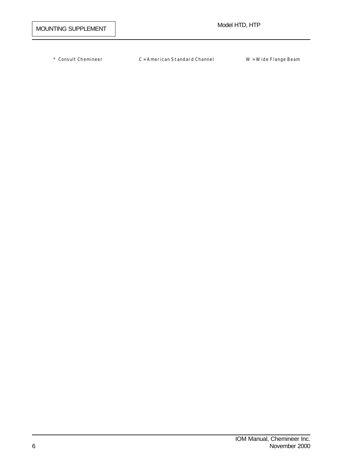\* Consult Chemineer C = American Standard Channel W = Wide Flange Beam